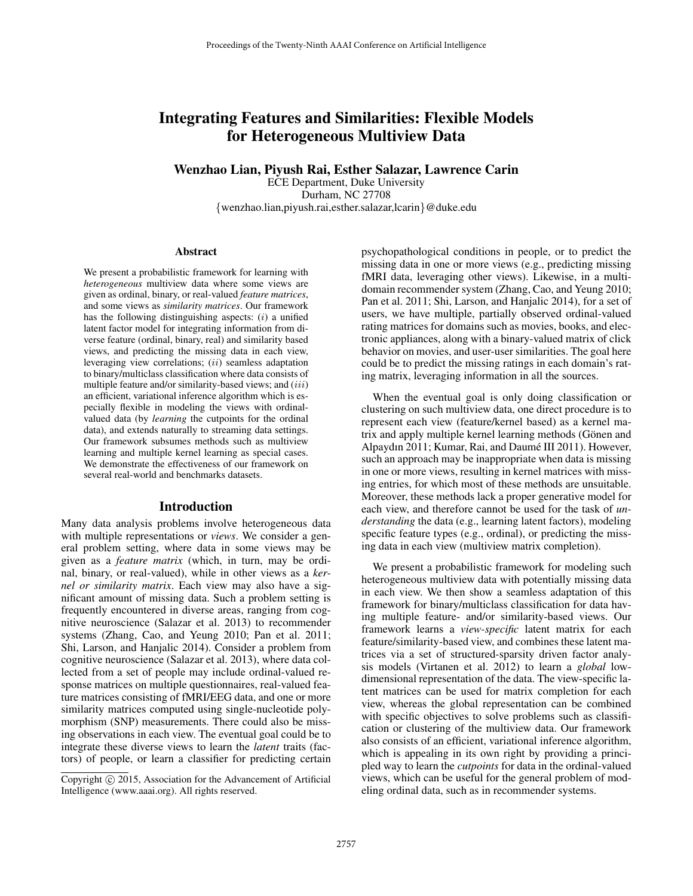# Integrating Features and Similarities: Flexible Models for Heterogeneous Multiview Data

Wenzhao Lian, Piyush Rai, Esther Salazar, Lawrence Carin

ECE Department, Duke University Durham, NC 27708 {wenzhao.lian,piyush.rai,esther.salazar,lcarin}@duke.edu

#### Abstract

We present a probabilistic framework for learning with *heterogeneous* multiview data where some views are given as ordinal, binary, or real-valued *feature matrices*, and some views as *similarity matrices*. Our framework has the following distinguishing aspects:  $(i)$  a unified latent factor model for integrating information from diverse feature (ordinal, binary, real) and similarity based views, and predicting the missing data in each view, leveraging view correlations;  $(ii)$  seamless adaptation to binary/multiclass classification where data consists of multiple feature and/or similarity-based views; and  $(iii)$ an efficient, variational inference algorithm which is especially flexible in modeling the views with ordinalvalued data (by *learning* the cutpoints for the ordinal data), and extends naturally to streaming data settings. Our framework subsumes methods such as multiview learning and multiple kernel learning as special cases. We demonstrate the effectiveness of our framework on several real-world and benchmarks datasets.

### Introduction

Many data analysis problems involve heterogeneous data with multiple representations or *views*. We consider a general problem setting, where data in some views may be given as a *feature matrix* (which, in turn, may be ordinal, binary, or real-valued), while in other views as a *kernel or similarity matrix*. Each view may also have a significant amount of missing data. Such a problem setting is frequently encountered in diverse areas, ranging from cognitive neuroscience (Salazar et al. 2013) to recommender systems (Zhang, Cao, and Yeung 2010; Pan et al. 2011; Shi, Larson, and Hanjalic 2014). Consider a problem from cognitive neuroscience (Salazar et al. 2013), where data collected from a set of people may include ordinal-valued response matrices on multiple questionnaires, real-valued feature matrices consisting of fMRI/EEG data, and one or more similarity matrices computed using single-nucleotide polymorphism (SNP) measurements. There could also be missing observations in each view. The eventual goal could be to integrate these diverse views to learn the *latent* traits (factors) of people, or learn a classifier for predicting certain

psychopathological conditions in people, or to predict the missing data in one or more views (e.g., predicting missing fMRI data, leveraging other views). Likewise, in a multidomain recommender system (Zhang, Cao, and Yeung 2010; Pan et al. 2011; Shi, Larson, and Hanjalic 2014), for a set of users, we have multiple, partially observed ordinal-valued rating matrices for domains such as movies, books, and electronic appliances, along with a binary-valued matrix of click behavior on movies, and user-user similarities. The goal here could be to predict the missing ratings in each domain's rating matrix, leveraging information in all the sources.

When the eventual goal is only doing classification or clustering on such multiview data, one direct procedure is to represent each view (feature/kernel based) as a kernel matrix and apply multiple kernel learning methods (Gönen and Alpaydın 2011; Kumar, Rai, and Daumé III 2011). However, such an approach may be inappropriate when data is missing in one or more views, resulting in kernel matrices with missing entries, for which most of these methods are unsuitable. Moreover, these methods lack a proper generative model for each view, and therefore cannot be used for the task of *understanding* the data (e.g., learning latent factors), modeling specific feature types (e.g., ordinal), or predicting the missing data in each view (multiview matrix completion).

We present a probabilistic framework for modeling such heterogeneous multiview data with potentially missing data in each view. We then show a seamless adaptation of this framework for binary/multiclass classification for data having multiple feature- and/or similarity-based views. Our framework learns a *view-specific* latent matrix for each feature/similarity-based view, and combines these latent matrices via a set of structured-sparsity driven factor analysis models (Virtanen et al. 2012) to learn a *global* lowdimensional representation of the data. The view-specific latent matrices can be used for matrix completion for each view, whereas the global representation can be combined with specific objectives to solve problems such as classification or clustering of the multiview data. Our framework also consists of an efficient, variational inference algorithm, which is appealing in its own right by providing a principled way to learn the *cutpoints* for data in the ordinal-valued views, which can be useful for the general problem of modeling ordinal data, such as in recommender systems.

Copyright  $\odot$  2015, Association for the Advancement of Artificial Intelligence (www.aaai.org). All rights reserved.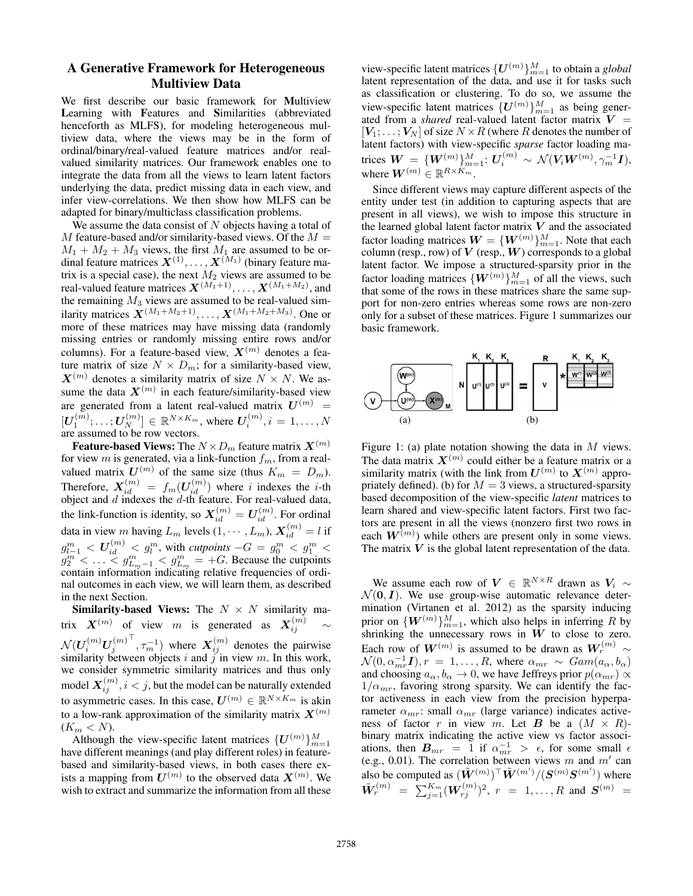## A Generative Framework for Heterogeneous Multiview Data

We first describe our basic framework for Multiview Learning with Features and Similarities (abbreviated henceforth as MLFS), for modeling heterogeneous multiview data, where the views may be in the form of ordinal/binary/real-valued feature matrices and/or realvalued similarity matrices. Our framework enables one to integrate the data from all the views to learn latent factors underlying the data, predict missing data in each view, and infer view-correlations. We then show how MLFS can be adapted for binary/multiclass classification problems.

We assume the data consist of  $N$  objects having a total of M feature-based and/or similarity-based views. Of the  $M = M_1 + M_2 + M_3$  views, the first  $M_1$  are assumed to be or- $M_1 + M_2 + M_3$  views, the first  $M_1$  are assumed to be or-<br>dinal feature matrices  $\mathbf{X}^{(1)}$   $\mathbf{X}^{(M_1)}$  (binary feature madinal feature matrices  $\mathbf{X}^{(1)}, \ldots, \mathbf{X}^{(M_1)}$  (binary feature matrix is a special case) the next  $M_2$  views are assumed to be trix is a special case), the next  $M_2$  views are assumed to be real-valued feature matrices  $X^{(M_1+1)}, \ldots, X^{(M_1+M_2)}$ , and the remaining  $M_2$  views are assumed to be real-valued simthe remaining  $M_3$  views are assumed to be real-valued similarity matrices  $X^{(M_1+M_2+1)}, \ldots, X^{(M_1+M_2+M_3)}$ . One or more of these matrices may have missing data (randomly more of these matrices may have missing data (randomly missing entries or randomly missing entire rows and/or columns). For a feature-based view,  $X^{(m)}$  denotes a feature matrix of size  $N \times D_m$ ; for a similarity-based view,  $X^{(m)}$  denotes a similarity matrix of size  $N \times N$ . We assume the data  $X^{(m)}$  in each feature/similarity-based view are generated from a latent real-valued matrix  $U^{(m)} =$ <br> $\begin{bmatrix} \text{tr}(m) & \text{tr}(m) \end{bmatrix} \in \mathbb{R}^{N \times K_m}$  where  $U^{(m)} \in \mathbb{R}^{N \times K_m}$  $[U_1^{(m)}; \dots; U_N^{(m)}] \in \mathbb{R}^{N \times K_m}$ , where  $U_i^{(m)}, i = 1, \dots, N$  are assumed to be row vectors.

Feature-based Views: The  $N \times D_m$  feature matrix  $\mathbf{X}^{(m)}$ for view m is generated, via a link-function  $f_m$ , from a realvalued matrix  $\mathbf{U}^{(m)}$  of the same size (thus  $K_m = D_m$ ).<br>Therefore  $\mathbf{v}^{(m)} = f(T^{(m)})$  where i indexes the i th Therefore,  $\mathbf{X}_{id}^{(m)} = f_m(\mathbf{U}_{id}^{(m)})$  where *i* indexes the *i*-th object and *d* indexes the *d*-th feature. For real-valued data, the link-function is identity, so  $X_{id}^{(m)} = U_{id}^{(m)}$ . For ordinal data in view m having  $L_m$  levels  $(1, \dots, L_m)$ ,  $\mathbf{X}_{id}^{(m)} = l$  if  $g_{l-1}^m < U_{id}^{(m)} < g_l^m$ , with *cutpoints*  $-G = g_0^m < g_1^m < g_l^m$  $g_2^{m_1}$  < ...  $\ll g_{L_{m-1}}^m$  <  $g_{L_m}^m$  = +G. Because the cutpoints<br>contain information indicating relative frequencies of ordicontain information indicating relative frequencies of ordinal outcomes in each view, we will learn them, as described in the next Section.

Similarity-based Views: The  $N \times N$  similarity matrix  $X^{(m)}$  of view *m* is generated as  $X_{ij}^{(m)}$  ∼  $\mathcal{N}(U_i^{(m)} U_j^{(m)}^{\dagger}, \tau_m^{-1})$  where  $X_{ij}^{(m)}$  denotes the pairwise similarity between objects *i* and *i* in view *m*. In this work similarity between objects i and j in view m. In this work, we consider symmetric similarity matrices and thus only model  $X_{ij}^{(m)}$ ,  $i < j$ , but the model can be naturally extended<br>the assumption associate this association  $\mathbf{F}^{(m)} \in \mathbb{R}^{N \times K_m}$  is also to asymmetric cases. In this case,  $U^{(m)} \in \mathbb{R}^{N \times K_m}$  is akin to a low-rank approximation of the similarity matrix  $X^{(m)}$  $(K_m < N).$ 

Although the view-specific latent matrices  $\{U^{(m)}\}_{m=1}^{M}$ <br>we different meanings (and play different roles) in featurehave different meanings (and play different roles) in featurebased and similarity-based views, in both cases there exists a mapping from  $U^{(m)}$  to the observed data  $X^{(m)}$ . We wish to extract and summarize the information from all these wish to extract and summarize the information from all these

view-specific latent matrices  $\{U^{(m)}\}_{m=1}^{M}$  to obtain a *global* latent representation of the data and use it for tasks such latent representation of the data, and use it for tasks such as classification or clustering. To do so, we assume the view-specific latent matrices  $\{U^{(m)}\}_{m=1}^M$  as being gener-<br>ated from a *shared* real-valued latent factor matrix  $V =$ ated from a *shared* real-valued latent factor matrix  $V =$  $[V_1; \ldots; V_N]$  of size  $N \times R$  (where R denotes the number of latent factors) with view-specific *sparse* factor loading matrices  $\mathbf{W} = \{ \mathbf{W}^{(m)} \}_{m=1}^M : \mathbf{U}_i^{(m)} \sim \mathcal{N}(\mathbf{V}_i \mathbf{W}^{(m)}, \gamma_m^{-1} \mathbf{I}),$ <br>where  $\mathbf{W}^{(m)} \in \mathbb{R}^{R \times K_m}$ where  $\mathbf{W}^{(m)} \in \mathbb{R}^{R \times K_m}$ .<br>Since different views n

Since different views may capture different aspects of the entity under test (in addition to capturing aspects that are present in all views), we wish to impose this structure in the learned global latent factor matrix *V* and the associated factor loading matrices  $W = JW^{(m)}\lambda^M$ . Note that each factor loading matrices  $W = \{W^{(m)}\}_{m=1}^{M}$ . Note that each column (resp. row) of *V* (resp. *W*) corresponds to a global column (resp., row) of  $V$  (resp.,  $W$ ) corresponds to a global latent factor. We impose a structured-sparsity prior in the factor loading matrices  ${W^{(m)}}_{m=1}^{M}$  of all the views, such that some of the rows in these matrices share the same sunthat some of the rows in these matrices share the same support for non-zero entries whereas some rows are non-zero only for a subset of these matrices. Figure 1 summarizes our basic framework.



Figure 1: (a) plate notation showing the data in  $M$  views. The data matrix  $X^{(m)}$  could either be a feature matrix or a similarity matrix (with the link from  $U^{(m)}$  to  $X^{(m)}$  appropriately defined). (b) for  $M = 3$  views, a structured-sparsity based decomposition of the view-specific *latent* matrices to learn shared and view-specific latent factors. First two factors are present in all the views (nonzero first two rows in each  $\mathbf{W}^{(m)}$ ) while others are present only in some views.<br>The matrix V is the global latent representation of the data The matrix *V* is the global latent representation of the data.

We assume each row of  $V \in \mathbb{R}^{N \times R}$  drawn as  $V_i \sim$  $\mathcal{N}(\mathbf{0}, \mathbf{I})$ . We use group-wise automatic relevance determination (Virtanen et al. 2012) as the sparsity inducing prior on  ${ \{W^{(m)}\}_{m=1}^{M}}$ , which also helps in inferring R by shrinking the unnecessary rows in W to close to zero shrinking the unnecessary rows in *W* to close to zero. Each row of  $W^{(m)}$  is assumed to be drawn as  $W_r^{(m)} \sim$  $\mathcal{N}(0, \alpha_{mr}^{-1}\mathbf{I}), r = 1, \ldots, R$ , where  $\alpha_{mr} \sim Gam(a_{\alpha}, b_{\alpha})$ and choosing  $a_{\alpha}, b_{\alpha} \to 0$ , we have Jeffreys prior  $p(\alpha_{mr}) \propto$  $1/\alpha_{mr}$ , favoring strong sparsity. We can identify the factor activeness in each view from the precision hyperparameter  $\alpha_{mr}$ : small  $\alpha_{mr}$  (large variance) indicates activeness of factor r in view m. Let **B** be a  $(M \times R)$ binary matrix indicating the active view vs factor associations, then  $B_{mr} = 1$  if  $\alpha_{mr}^{-1} > \epsilon$ , for some small  $\epsilon$ <br>(e.g. 0.01) The correlation between views m and m' can (e.g., 0.01). The correlation between views m and  $m'$  can also be computed as  $(\tilde{W}^{(m)})^{\top} \tilde{W}^{(m')}/(S^{(m)}S^{(m')})$  where  $\tilde{W}_r^{(m)} = \sum_{j=1}^{K_m} (\tilde{W}_{rj}^{(m)})^2, r = 1, ..., R$  and  $S^{(m)} =$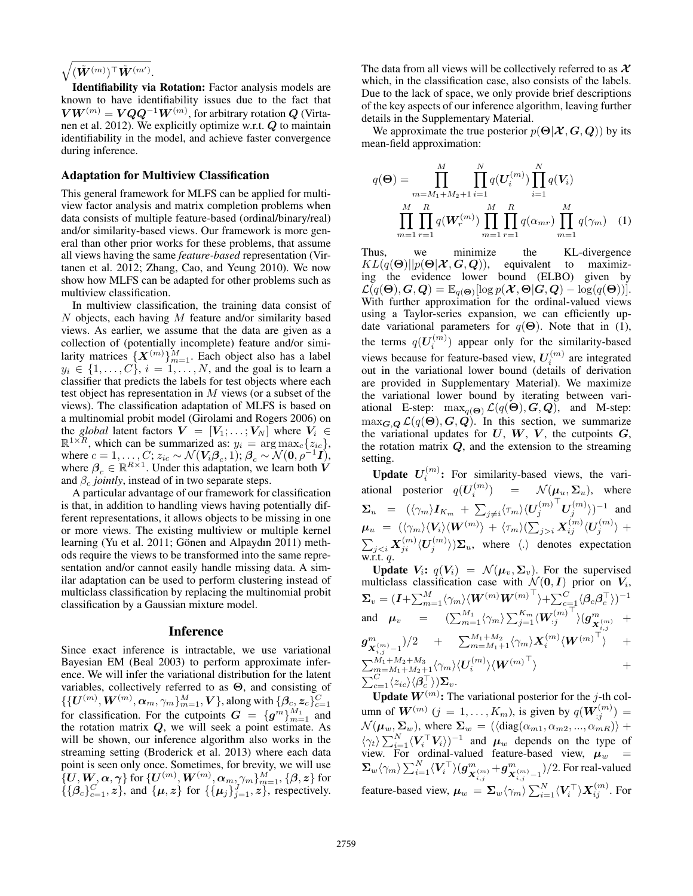$$
\sqrt{(\tilde{\boldsymbol{W}}^{(m)})^\top\tilde{\boldsymbol{W}}^{(m')}}.
$$

 $(\tilde{W}^{(m)})^{\top} \tilde{W}^{(m')}$ .<br>**Identifiability via Rotation:** Factor analysis models are known to have identifiability issues due to the fact that  $V W^{(m)} = V Q Q^{-1} W^{(m)}$ , for arbitrary rotation *Q* (Virta-<br>nen et al. 2012). We explicitly optimize w r t. *Q* to maintain nen et al. 2012). We explicitly optimize w.r.t. *Q* to maintain identifiability in the model, and achieve faster convergence during inference.

### Adaptation for Multiview Classification

This general framework for MLFS can be applied for multiview factor analysis and matrix completion problems when data consists of multiple feature-based (ordinal/binary/real) and/or similarity-based views. Our framework is more general than other prior works for these problems, that assume all views having the same *feature-based* representation (Virtanen et al. 2012; Zhang, Cao, and Yeung 2010). We now show how MLFS can be adapted for other problems such as multiview classification.

In multiview classification, the training data consist of  $N$  objects, each having  $M$  feature and/or similarity based views. As earlier, we assume that the data are given as a collection of (potentially incomplete) feature and/or similarity matrices  $\{X^{(m)}\}_{m=1}^{M}$ . Each object also has a label  $u_i \in \{1, C\}_{i=1}^{M}$  and the goal is to learn a  $y_i \in \{1, \ldots, C\}, i = 1, \ldots, N$ , and the goal is to learn a classifier that predicts the labels for test objects where each classifier that predicts the labels for test objects where each test object has representation in M views (or a subset of the views). The classification adaptation of MLFS is based on a multinomial probit model (Girolami and Rogers 2006) on the *global* latent factors  $V = [V_1; \dots; V_N]$  where  $V_i \in$  $\mathbb{R}^{1 \times R}$ , which can be summarized as:  $y_i = \arg \max_c \{z_{ic}\},$ where  $c = 1, \ldots, C$ ;  $z_{ic} \sim \mathcal{N}(\mathbf{V}_i \boldsymbol{\beta}_c, 1)$ ;  $\boldsymbol{\beta}_c \sim \mathcal{N}(\mathbf{0}, \rho^{-1} \mathbf{I})$ , where  $\beta_c \in \mathbb{R}^{R \times 1}$ . Under this adaptation, we learn both  $\hat{V}$ and  $\beta_c$  *jointly*, instead of in two separate steps.

A particular advantage of our framework for classification is that, in addition to handling views having potentially different representations, it allows objects to be missing in one or more views. The existing multiview or multiple kernel learning (Yu et al. 2011; Gönen and Alpaydın 2011) methods require the views to be transformed into the same representation and/or cannot easily handle missing data. A similar adaptation can be used to perform clustering instead of multiclass classification by replacing the multinomial probit classification by a Gaussian mixture model.

### Inference

Since exact inference is intractable, we use variational Bayesian EM (Beal 2003) to perform approximate inference. We will infer the variational distribution for the latent variables, collectively referred to as **Θ**, and consisting of  $\{ {\mathbf{U}^{(m)}, {\mathbf{W}^{(m)}, \alpha_m, \gamma_m}\}_{m=1}^M, {\mathbf{V}}\}$ , along with  ${\mathbf{\{\beta_c, z_c\}}_{c=1}^C}$ <br>for classification. For the quipoints  $\mathbf{C} = \{\alpha^m\}_{M_1}^M$  and for classification. For the cutpoints  $G = {g^m}_{m=1}^{M_1}$  and<br>the rotation matrix *Q* we will seek a point estimate. As the rotation matrix  $Q$ , we will seek a point estimate. As will be shown, our inference algorithm also works in the streaming setting (Broderick et al. 2013) where each data point is seen only once. Sometimes, for brevity, we will use  $\{U, W, \alpha, \gamma\}$  for  $\{U^{(m)}, W^{(m)}, \alpha_m, \gamma_m\}_{m=1}^M$ ,  $\{\beta, z\}$  for  $\{f_{(m)}, f_{(m)}, z\}$  respectively  $\{ {\beta_c} \}_{c=1}^C, {\bf z}$ , and  $\{ {\mu, {\bf z}} \}$  for  $\{ {\mu_j} \}_{j=1}^T, {\bf z} \}$ , respectively.

The data from all views will be collectively referred to as *X* which, in the classification case, also consists of the labels. Due to the lack of space, we only provide brief descriptions of the key aspects of our inference algorithm, leaving further details in the Supplementary Material.

We approximate the true posterior  $p(\Theta|\mathcal{X}, G, Q)$ ) by its mean-field approximation:

$$
q(\Theta) = \prod_{m=M_1+M_2+1}^{M} \prod_{i=1}^{N} q(U_i^{(m)}) \prod_{i=1}^{N} q(V_i)
$$

$$
\prod_{m=1}^{M} \prod_{r=1}^{R} q(W_r^{(m)}) \prod_{m=1}^{M} \prod_{r=1}^{R} q(\alpha_{mr}) \prod_{m=1}^{M} q(\gamma_m) \quad (1)
$$

Thus, we minimize the KL-divergence  $KL(q(\Theta)||p(\Theta|\mathcal{X}, G, Q))$ , equivalent to maximizing the evidence lower bound (ELBO) given by  $\mathcal{L}(q(\mathbf{\Theta}), \mathbf{G}, \mathbf{Q}) = \mathbb{E}_{q(\mathbf{\Theta})}[\log p(\mathbf{\mathcal{X}}, \mathbf{\Theta}|\mathbf{G}, \mathbf{Q}) - \log(q(\mathbf{\Theta}))].$ With further approximation for the ordinal-valued views using a Taylor-series expansion, we can efficiently update variational parameters for  $q(\Theta)$ . Note that in (1), the terms  $q(U_i^{(m)})$  appear only for the similarity-based views because for feature-based view,  $U_i^{(m)}$  are integrated<br>out in the variational lower bound (details of derivation out in the variational lower bound (details of derivation are provided in Supplementary Material). We maximize the variational lower bound by iterating between variational E-step:  $\max_{q(\Theta)} \mathcal{L}(q(\Theta), \mathbf{G}, \mathbf{Q})$ , and M-step:  $\max_{\mathbf{G},\mathbf{Q}} \mathcal{L}(q(\mathbf{\Theta}), \mathbf{G}, \mathbf{Q})$ . In this section, we summarize the variational updates for  $U$ ,  $W$ ,  $V$ , the cutpoints  $G$ , the rotation matrix *Q*, and the extension to the streaming setting.

**Update**  $U_i^{(m)}$ **Update**  $U_i^{(m)}$ : For similarity-based views, the variational posterior  $q(U_i^{(m)}) = \mathcal{N}(\mu_u, \Sigma_u)$ , where  $\Sigma_u = (\langle \gamma_m \rangle I_{K_m} + \sum_{j \neq i} \langle \tau_m \rangle \langle U_j^{(m)} \rangle^{\dagger} U_j^{(m)} \rangle)^{-1}$  and  $\mu_u \; = \; (\langle \gamma_m \rangle \langle V_i \rangle \langle W^{(m)} \rangle \; + \; \langle \tau_m \rangle (\sum_{j>i} X_{ij}^{(m)} \langle U_j^{(m)} \rangle \; + \; \nabla \cdot \left( \sum_{j \in J} X_{ij}^{(m)} \langle V_j^{(m)} \rangle \right) \; + \; \nabla \cdot \left( \sum_{j \in J} X_{ij}^{(m)} \langle V_j^{(m)} \rangle \right) \; .$  $\sum_{j \le i} X_{ji}^{(m)} \langle U_j^{(m)} \rangle$ ) $\Sigma_u$ , where  $\langle . \rangle$  denotes expectation w.r.t. q.

**Update**  $V_i: q(V_i) = \mathcal{N}(\mu_v, \Sigma_v)$ . For the supervised inclusion case with  $\mathcal{N}(\mathbf{0}, \mathbf{I})$  prior on  $V_i$ . multiclass classification case with  $\mathcal{N}(\mathbf{0}, \mathbf{I})$  prior on  $V_i$ ,<br> $\sum_{i=1}^N (I_i \sum_{i=1}^M I_i) (\mathbf{W}(\mathbf{m})^T) \cdot \sum_{i=1}^N (I_i \mathbf{a}^T) \cdot \mathbf{a}^T$  $\boldsymbol{\Sigma}_v = (\boldsymbol{I} + \sum_{m=1}^M \langle \gamma_m \rangle \langle \boldsymbol{W}^{(m)} \boldsymbol{W}^{(m)}^\top \rangle + \sum_{c=1}^C \langle \boldsymbol{\beta}_c \boldsymbol{\beta}_c^\top \rangle)^{-1}$ and  $\bm{\mu}_v$  =  $(\sum_{m=1}^{M_1}\langle\gamma_m\rangle\sum_{j=1}^{K_m}\langle\bm{W}^{(m)}_{:j}^{-1}\rangle(\bm{g}^m_{\bm{X}^{(m)}_{i,j}})$  +  $g_{\boldsymbol{X}_{i,j-1}^{(m)} \choose j/2}^2 \quad + \quad {\textstyle \sum_{m=M_1+1}^{M_1+M_2}} \langle \gamma_m \rangle {\boldsymbol{X}_{i}^{(m)} \langle \boldsymbol{W}^{(m)}}^\top \rangle \quad \, + \quad$  $\frac{\sum_{m=M_1+M_2+M_3}^{M_1+M_2+M_3}\langle m \rangle \langle \boldsymbol{U}_i^{(m)} \rangle \langle \boldsymbol{W}^{(m)}}{\sum_{i=1}^{C} \langle \boldsymbol{U}_i^{(m)} \rangle \langle \boldsymbol{W}_i^{(m)}} \rangle +$  $\sum_{c=1}^{C} \langle z_{ic} \rangle \langle \boldsymbol{\beta}_{c}$  $\sum_{c=1}^{C} \langle z_{ic} \rangle \langle \boldsymbol{\beta}_{c}^{\perp} \rangle) \boldsymbol{\Sigma}_{v}.$ Ledoto W $(m)$ . Th

**Update**  $W^{(m)}$ : The variational posterior for the *j*-th column of  $W^{(m)}$  (j = 1,...,  $K_m$ ), is given by  $q(W_{;j}^{(m)})$  =  $\sum_{i=1}^{n} j(i) =$  $\mathcal{N}(\mu_w, \Sigma_w)$ , where  $\Sigma_w = (\langle \text{diag}(\alpha_{m1}, \alpha_{m2}, ..., \alpha_{mR}) \rangle +$ <br>  $\langle \gamma_t \rangle \sum_{i=1}^N \langle V_i^\top V_i \rangle \rangle^{-1}$  and  $\mu_w$  depends on the type of view For ordinal-valued feature-based view  $\mu_w$  = view. For ordinal-valued feature-based view,  $\mu_w =$ <br>  $\sum (\alpha \sqrt{N})^N (N^T)(\alpha^m + (\alpha^m - 1)/2)$  For real valued  $\sum_{w} \langle \gamma_m \rangle \sum_{i=1}^N \langle V_i^{\top} \rangle (g^{m}_{\mathbf{X}_{i,j}^{(m)}} + g^{m}_{\mathbf{X}_{i,j}^{(m)}-1})/2$ . For real-valued feature-based view,  $\mu_w = \sum_w \langle \gamma_m \rangle \sum_{i=1}^N \langle V_i^{\top} \rangle$  $\langle X_i^{\top} \rangle \mathcal{X}_{ij}^{(m)}$ . For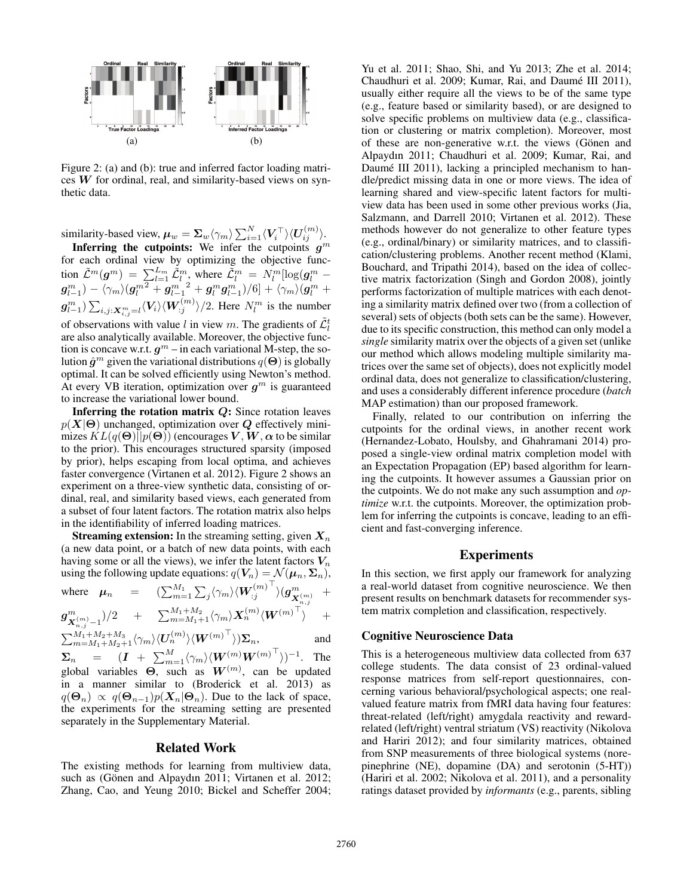

Figure 2: (a) and (b): true and inferred factor loading matrices *W* for ordinal, real, and similarity-based views on synthetic data.

similarity-based view,  $\mu_w = \sum_w \langle \gamma_m \rangle \sum_{i=1}^N \langle V_i^{\top} \rangle$ <br>Inferring the cutpoints: We infer the cut- $\langle U_{ij}^{(m)} \rangle$ .<br>utpoints a<sup>n</sup>

**Inferring the cutpoints:** We infer the cutpoints  $g^m$ for each ordinal view by optimizing the objective function  $\tilde{\mathcal{L}}^m(g^m) = \sum_{l=1}^{L_m} \tilde{\tilde{\mathcal{L}}}^m_l$ , where  $\tilde{\tilde{\mathcal{L}}}^m_l = N_l^m \left[ \log(g^m_l - g^m_l) \right]$  $g_{l-1}^m$ ) −  $\langle \gamma_m \rangle (g_l^{m-1} + g_{l-1}^{m-2} + g_l^m g_{l-1}^{m})/6] + \langle \gamma_m \rangle (g_l^m +$  $g_{l-1}^m$ )  $\sum_{i,j:X_{i,j}^m=l} \langle V_i \rangle \langle W_{,j}^{(m)} \rangle /2$ . Here  $N_l^m$  is the number of observations with value l in view m. The gradients of  $\tilde{\mathcal{L}}_t^t$ are also analytically available. Moreover, the objective function is concave w.r.t.  $g^m$  – in each variational M-step, the solution  $\hat{g}^m$  given the variational distributions  $q(\Theta)$  is globally optimal. It can be solved efficiently using Newton's method. At every VB iteration, optimization over  $g^m$  is guaranteed to increase the variational lower bound.

Inferring the rotation matrix *Q*: Since rotation leaves <sup>p</sup>(*X*|**Θ**) unchanged, optimization over *Q* effectively minimizes  $KL(q(\Theta)||p(\Theta))$  (encourages  $V, W, \alpha$  to be similar to the prior). This encourages structured sparsity (imposed by prior), helps escaping from local optima, and achieves faster convergence (Virtanen et al. 2012). Figure 2 shows an experiment on a three-view synthetic data, consisting of ordinal, real, and similarity based views, each generated from a subset of four latent factors. The rotation matrix also helps in the identifiability of inferred loading matrices.

**Streaming extension:** In the streaming setting, given  $X_n$ (a new data point, or a batch of new data points, with each having some or all the views), we infer the latent factors  $V_n$ using the following update equations:  $q(V_n) = \mathcal{N}(\mu_n, \Sigma_n)$ ,

where 
$$
\mu_n
$$
 =  $(\sum_{m=1}^{M_1}\sum_j\langle\gamma_m\rangle\langle W_{.j}^{(m)}|^{\dagger})\langle g_{\boldsymbol{X}_{m,j}^{(m)}}^m +$ 

$$
\begin{array}{ccc}g^m_{\boldsymbol{X}_{n,j}^{(m)}-1})/2&+&\sum_{m=M_1+1}^{M_1+M_2}\langle\gamma_m\rangle\boldsymbol{X}_n^{(m)}\langle\boldsymbol{W}^{(m)}}^\top\rangle&+\\ \sum_{m=M_1+M_2+M_3}^{M_1+M_2+M_3}\langle\gamma_m\rangle\langle\boldsymbol{U}_n^{(m)}\rangle\langle\boldsymbol{W}^{(m)}}^\top\rangle)\boldsymbol{\Sigma}_n, &\text{and}\\ -&\sum_{m=M_1+M_2+1}^{M_1+M_2+M_3}\langle\boldsymbol{X}_m^{(m)}\rangle\langle\boldsymbol{W}^{(m)}\rangle\langle\boldsymbol{X}_m^{(m)}\rangle\langle\boldsymbol{X}_m^{(m)}\rangle\langle\boldsymbol{X}_m^{(m)}\rangle\end{array}
$$

$$
\alpha
$$

 $\Sigma_n = (I + \sum_{m=1}^M \langle \gamma_m \rangle \langle W^{(m)} W^{(m)^\top} \rangle)^{-1}$ . The global variables  $\Theta$ , such as  $W^{(m)}$ , can be updated<br>in a manner similar to (Broderick et al. 2013) as in a manner similar to (Broderick et al. 2013) as  $q(\mathbf{\Theta}_n) \propto q(\mathbf{\Theta}_{n-1})p(\mathbf{X}_n|\mathbf{\Theta}_n)$ . Due to the lack of space, the experiments for the streaming setting are presented separately in the Supplementary Material.

### Related Work

The existing methods for learning from multiview data, such as (Gönen and Alpaydın 2011; Virtanen et al. 2012; Zhang, Cao, and Yeung 2010; Bickel and Scheffer 2004;

Yu et al. 2011; Shao, Shi, and Yu 2013; Zhe et al. 2014; Chaudhuri et al. 2009; Kumar, Rai, and Daumé III 2011), usually either require all the views to be of the same type (e.g., feature based or similarity based), or are designed to solve specific problems on multiview data (e.g., classification or clustering or matrix completion). Moreover, most of these are non-generative w.r.t. the views (Gönen and Alpaydın 2011; Chaudhuri et al. 2009; Kumar, Rai, and Daumé III 2011), lacking a principled mechanism to handle/predict missing data in one or more views. The idea of learning shared and view-specific latent factors for multiview data has been used in some other previous works (Jia, Salzmann, and Darrell 2010; Virtanen et al. 2012). These methods however do not generalize to other feature types (e.g., ordinal/binary) or similarity matrices, and to classification/clustering problems. Another recent method (Klami, Bouchard, and Tripathi 2014), based on the idea of collective matrix factorization (Singh and Gordon 2008), jointly performs factorization of multiple matrices with each denoting a similarity matrix defined over two (from a collection of several) sets of objects (both sets can be the same). However, due to its specific construction, this method can only model a *single* similarity matrix over the objects of a given set (unlike our method which allows modeling multiple similarity matrices over the same set of objects), does not explicitly model ordinal data, does not generalize to classification/clustering, and uses a considerably different inference procedure (*batch* MAP estimation) than our proposed framework.

Finally, related to our contribution on inferring the cutpoints for the ordinal views, in another recent work (Hernandez-Lobato, Houlsby, and Ghahramani 2014) proposed a single-view ordinal matrix completion model with an Expectation Propagation (EP) based algorithm for learning the cutpoints. It however assumes a Gaussian prior on the cutpoints. We do not make any such assumption and *optimize* w.r.t. the cutpoints. Moreover, the optimization problem for inferring the cutpoints is concave, leading to an efficient and fast-converging inference.

### Experiments

In this section, we first apply our framework for analyzing a real-world dataset from cognitive neuroscience. We then present results on benchmark datasets for recommender system matrix completion and classification, respectively.

### Cognitive Neuroscience Data

This is a heterogeneous multiview data collected from 637 college students. The data consist of 23 ordinal-valued response matrices from self-report questionnaires, concerning various behavioral/psychological aspects; one realvalued feature matrix from fMRI data having four features: threat-related (left/right) amygdala reactivity and rewardrelated (left/right) ventral striatum (VS) reactivity (Nikolova and Hariri 2012); and four similarity matrices, obtained from SNP measurements of three biological systems (norepinephrine (NE), dopamine (DA) and serotonin (5-HT)) (Hariri et al. 2002; Nikolova et al. 2011), and a personality ratings dataset provided by *informants* (e.g., parents, sibling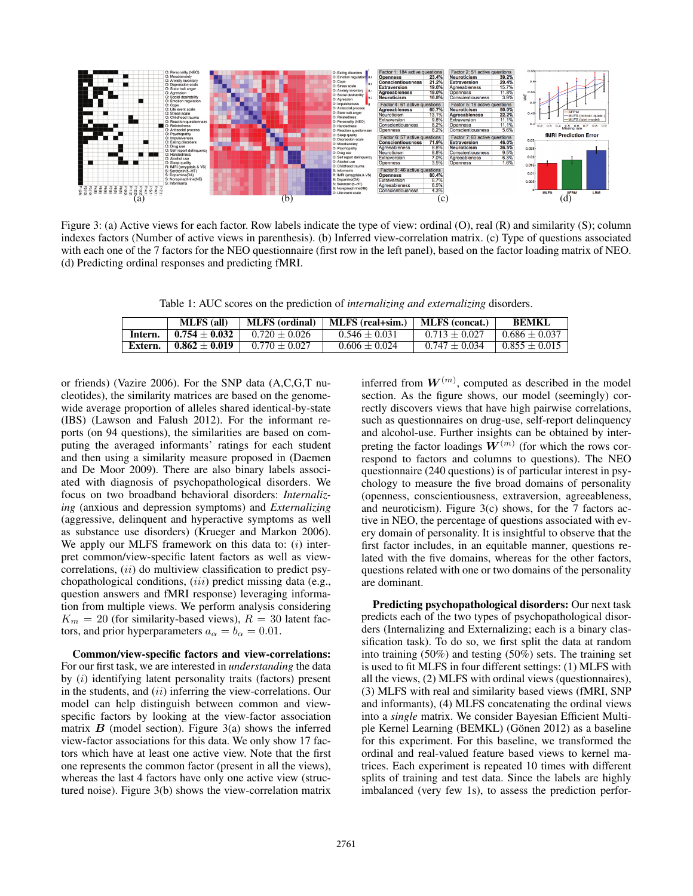

Figure 3: (a) Active views for each factor. Row labels indicate the type of view: ordinal (O), real (R) and similarity (S); column indexes factors (Number of active views in parenthesis). (b) Inferred view-correlation matrix. (c) Type of questions associated with each one of the 7 factors for the NEO questionnaire (first row in the left panel), based on the factor loading matrix of NEO. (d) Predicting ordinal responses and predicting fMRI.

Table 1: AUC scores on the prediction of *internalizing and externalizing* disorders.

|         | <b>MLFS</b> (all) | <b>MLFS</b> (ordinal) | MLFS (real+sim.)  | <b>MLFS</b> (concat.) | <b>BEMKL</b>      |
|---------|-------------------|-----------------------|-------------------|-----------------------|-------------------|
| Intern. | $0.754 + 0.032$   | $0.720 \pm 0.026$     | $0.546 \pm 0.031$ | $0.713 \pm 0.027$     | $0.686 + 0.037$   |
| Extern. | $0.862 \pm 0.019$ | $0.770 \pm 0.027$     | $0.606 \pm 0.024$ | $0.747 \pm 0.034$     | $0.855 \pm 0.015$ |

or friends) (Vazire 2006). For the SNP data (A,C,G,T nucleotides), the similarity matrices are based on the genomewide average proportion of alleles shared identical-by-state (IBS) (Lawson and Falush 2012). For the informant reports (on 94 questions), the similarities are based on computing the averaged informants' ratings for each student and then using a similarity measure proposed in (Daemen and De Moor 2009). There are also binary labels associated with diagnosis of psychopathological disorders. We focus on two broadband behavioral disorders: *Internalizing* (anxious and depression symptoms) and *Externalizing* (aggressive, delinquent and hyperactive symptoms as well as substance use disorders) (Krueger and Markon 2006). We apply our MLFS framework on this data to:  $(i)$  interpret common/view-specific latent factors as well as viewcorrelations,  $(ii)$  do multiview classification to predict psychopathological conditions, (iii) predict missing data (e.g., question answers and fMRI response) leveraging information from multiple views. We perform analysis considering  $K_m = 20$  (for similarity-based views),  $R = 30$  latent factors, and prior hyperparameters  $a_{\alpha} = b_{\alpha} = 0.01$ .

Common/view-specific factors and view-correlations: For our first task, we are interested in *understanding* the data by  $(i)$  identifying latent personality traits (factors) present in the students, and  $(ii)$  inferring the view-correlations. Our model can help distinguish between common and viewspecific factors by looking at the view-factor association matrix  $\bf{B}$  (model section). Figure 3(a) shows the inferred view-factor associations for this data. We only show 17 factors which have at least one active view. Note that the first one represents the common factor (present in all the views), whereas the last 4 factors have only one active view (structured noise). Figure 3(b) shows the view-correlation matrix

inferred from  $W^{(m)}$ , computed as described in the model<br>section. As the figure shows, our model (seemingly) corsection. As the figure shows, our model (seemingly) correctly discovers views that have high pairwise correlations, such as questionnaires on drug-use, self-report delinquency and alcohol-use. Further insights can be obtained by interpreting the factor loadings  $W^{(m)}$  (for which the rows correspond to factors and columns to questions). The NEO questionnaire (240 questions) is of particular interest in psychology to measure the five broad domains of personality (openness, conscientiousness, extraversion, agreeableness, and neuroticism). Figure 3(c) shows, for the 7 factors active in NEO, the percentage of questions associated with every domain of personality. It is insightful to observe that the first factor includes, in an equitable manner, questions related with the five domains, whereas for the other factors, questions related with one or two domains of the personality are dominant.

Predicting psychopathological disorders: Our next task predicts each of the two types of psychopathological disorders (Internalizing and Externalizing; each is a binary classification task). To do so, we first split the data at random into training (50%) and testing (50%) sets. The training set is used to fit MLFS in four different settings: (1) MLFS with all the views, (2) MLFS with ordinal views (questionnaires), (3) MLFS with real and similarity based views (fMRI, SNP and informants), (4) MLFS concatenating the ordinal views into a *single* matrix. We consider Bayesian Efficient Multiple Kernel Learning (BEMKL) (Gönen 2012) as a baseline for this experiment. For this baseline, we transformed the ordinal and real-valued feature based views to kernel matrices. Each experiment is repeated 10 times with different splits of training and test data. Since the labels are highly imbalanced (very few 1s), to assess the prediction perfor-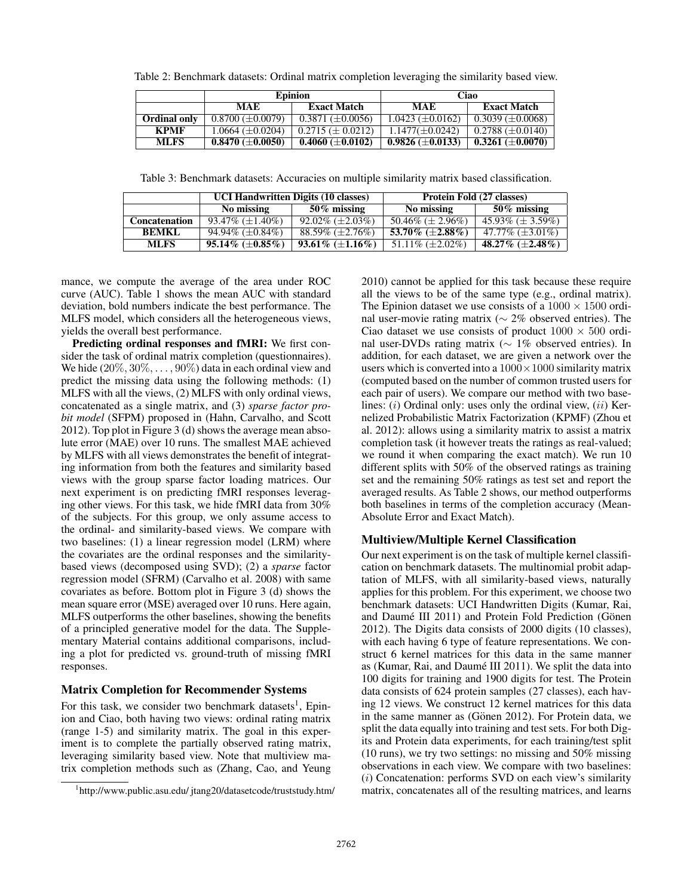Table 2: Benchmark datasets: Ordinal matrix completion leveraging the similarity based view.

|              |                         | <b>Epinion</b>          | Ciao                    |                         |
|--------------|-------------------------|-------------------------|-------------------------|-------------------------|
|              | <b>MAE</b>              | <b>Exact Match</b>      | <b>MAE</b>              | <b>Exact Match</b>      |
| Ordinal only | $0.8700 \ (\pm 0.0079)$ | $0.3871 \ (\pm 0.0056)$ | $1.0423 \ (\pm 0.0162)$ | $0.3039 \ (\pm 0.0068)$ |
| <b>KPMF</b>  | $1.0664 \ (\pm 0.0204)$ | $0.2715 \ (\pm 0.0212)$ | $1.1477(\pm 0.0242)$    | $0.2788 \ (\pm 0.0140)$ |
| <b>MLFS</b>  | $0.8470 \ (\pm 0.0050)$ | $0.4060 \ (\pm 0.0102)$ | $0.9826 \ (\pm 0.0133)$ | $0.3261 \ (\pm 0.0070)$ |

Table 3: Benchmark datasets: Accuracies on multiple similarity matrix based classification.

|                      | UCI Handwritten Digits (10 classes) |                            | Protein Fold (27 classes)  |                        |
|----------------------|-------------------------------------|----------------------------|----------------------------|------------------------|
|                      | No missing                          | $50\%$ missing             | No missing                 | $50\%$ missing         |
| <b>Concatenation</b> | 93.47\% $(\pm 1.40\%)$              | $92.02\%$ ( $\pm 2.03\%$ ) | 50.46\% ( $\pm$ 2.96\%)    | 45.93% ( $\pm$ 3.59%)  |
| <b>BEMKL</b>         | 94.94% $(\pm 0.84\%)$               | $88.59\%$ ( $\pm 2.76\%$ ) | 53.70% $(\pm 2.88\%)$      | 47.77\% $(\pm 3.01\%)$ |
| <b>MLFS</b>          | 95.14\% $(\pm 0.85\%)$              | 93.61% $(\pm 1.16\%)$      | $51.11\%$ ( $\pm 2.02\%$ ) | 48.27% $(\pm 2.48\%)$  |

mance, we compute the average of the area under ROC curve (AUC). Table 1 shows the mean AUC with standard deviation, bold numbers indicate the best performance. The MLFS model, which considers all the heterogeneous views, yields the overall best performance.

Predicting ordinal responses and fMRI: We first consider the task of ordinal matrix completion (questionnaires). We hide  $(20\%, 30\%, \ldots, 90\%)$  data in each ordinal view and predict the missing data using the following methods: (1) MLFS with all the views, (2) MLFS with only ordinal views, concatenated as a single matrix, and (3) *sparse factor probit model* (SFPM) proposed in (Hahn, Carvalho, and Scott 2012). Top plot in Figure 3 (d) shows the average mean absolute error (MAE) over 10 runs. The smallest MAE achieved by MLFS with all views demonstrates the benefit of integrating information from both the features and similarity based views with the group sparse factor loading matrices. Our next experiment is on predicting fMRI responses leveraging other views. For this task, we hide fMRI data from 30% of the subjects. For this group, we only assume access to the ordinal- and similarity-based views. We compare with two baselines: (1) a linear regression model (LRM) where the covariates are the ordinal responses and the similaritybased views (decomposed using SVD); (2) a *sparse* factor regression model (SFRM) (Carvalho et al. 2008) with same covariates as before. Bottom plot in Figure 3 (d) shows the mean square error (MSE) averaged over 10 runs. Here again, MLFS outperforms the other baselines, showing the benefits of a principled generative model for the data. The Supplementary Material contains additional comparisons, including a plot for predicted vs. ground-truth of missing fMRI responses.

### Matrix Completion for Recommender Systems

For this task, we consider two benchmark datasets<sup>1</sup>, Epinion and Ciao, both having two views: ordinal rating matrix (range 1-5) and similarity matrix. The goal in this experiment is to complete the partially observed rating matrix, leveraging similarity based view. Note that multiview matrix completion methods such as (Zhang, Cao, and Yeung 2010) cannot be applied for this task because these require all the views to be of the same type (e.g., ordinal matrix). The Epinion dataset we use consists of a  $1000 \times 1500$  ordinal user-movie rating matrix (∼ 2% observed entries). The Ciao dataset we use consists of product  $1000 \times 500$  ordinal user-DVDs rating matrix (∼ 1% observed entries). In addition, for each dataset, we are given a network over the users which is converted into a  $1000 \times 1000$  similarity matrix (computed based on the number of common trusted users for each pair of users). We compare our method with two baselines:  $(i)$  Ordinal only: uses only the ordinal view,  $(ii)$  Kernelized Probabilistic Matrix Factorization (KPMF) (Zhou et al. 2012): allows using a similarity matrix to assist a matrix completion task (it however treats the ratings as real-valued; we round it when comparing the exact match). We run 10 different splits with 50% of the observed ratings as training set and the remaining 50% ratings as test set and report the averaged results. As Table 2 shows, our method outperforms both baselines in terms of the completion accuracy (Mean-Absolute Error and Exact Match).

#### Multiview/Multiple Kernel Classification

Our next experiment is on the task of multiple kernel classification on benchmark datasets. The multinomial probit adaptation of MLFS, with all similarity-based views, naturally applies for this problem. For this experiment, we choose two benchmark datasets: UCI Handwritten Digits (Kumar, Rai, and Daumé III 2011) and Protein Fold Prediction (Gönen 2012). The Digits data consists of 2000 digits (10 classes), with each having 6 type of feature representations. We construct 6 kernel matrices for this data in the same manner as (Kumar, Rai, and Daumé III 2011). We split the data into 100 digits for training and 1900 digits for test. The Protein data consists of 624 protein samples (27 classes), each having 12 views. We construct 12 kernel matrices for this data in the same manner as (Gönen 2012). For Protein data, we split the data equally into training and test sets. For both Digits and Protein data experiments, for each training/test split (10 runs), we try two settings: no missing and 50% missing observations in each view. We compare with two baselines:  $(i)$  Concatenation: performs SVD on each view's similarity matrix, concatenates all of the resulting matrices, and learns

<sup>1</sup> http://www.public.asu.edu/ jtang20/datasetcode/truststudy.htm/